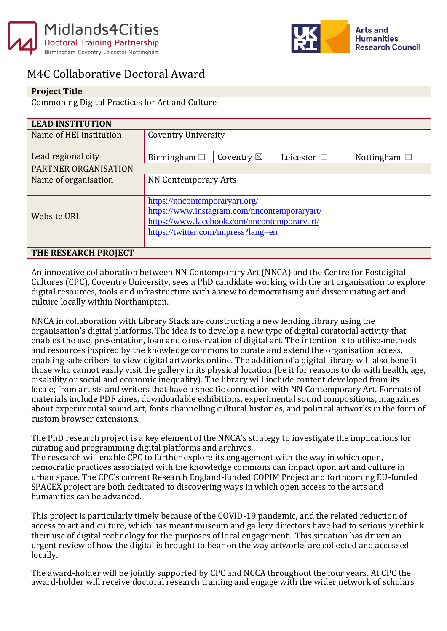



## M4C Collaborative Doctoral Award

| <b>Project Title</b>                            |                                              |                      |                  |                   |
|-------------------------------------------------|----------------------------------------------|----------------------|------------------|-------------------|
| Commoning Digital Practices for Art and Culture |                                              |                      |                  |                   |
|                                                 |                                              |                      |                  |                   |
| <b>LEAD INSTITUTION</b>                         |                                              |                      |                  |                   |
| Name of HEI institution                         | <b>Coventry University</b>                   |                      |                  |                   |
|                                                 |                                              |                      |                  |                   |
| Lead regional city                              | Birmingham $\square$                         | Coventry $\boxtimes$ | Leicester $\Box$ | Nottingham $\Box$ |
| PARTNER ORGANISATION                            |                                              |                      |                  |                   |
| Name of organisation                            | <b>NN Contemporary Arts</b>                  |                      |                  |                   |
|                                                 |                                              |                      |                  |                   |
|                                                 | https://nncontemporaryart.org/               |                      |                  |                   |
| <b>Website URL</b>                              | https://www.instagram.com/nncontemporaryart/ |                      |                  |                   |
|                                                 | https://www.facebook.com/nncontemporaryart/  |                      |                  |                   |
|                                                 | https://twitter.com/nnpress?lang=en          |                      |                  |                   |
|                                                 |                                              |                      |                  |                   |
| THE RESEARCH PROJECT                            |                                              |                      |                  |                   |

An innovative collaboration between NN Contemporary Art (NNCA) and the Centre for Postdigital Cultures (CPC), Coventry University, sees a PhD candidate working with the art organisation to explore digital resources, tools and infrastructure with a view to democratising and disseminating art and culture locally within Northampton.

NNCA in collaboration with Library Stack are constructing a new lending library using the organisation's digital platforms. The idea is to develop a new type of digital curatorial activity that enables the use, presentation, loan and conservation of digital art. The intention is to utilise methods and resources inspired by the knowledge commons to curate and extend the organisation access, enabling subscribers to view digital artworks online. The addition of a digital library will also benefit those who cannot easily visit the gallery in its physical location (be it for reasons to do with health, age, disability or social and economic inequality). The library will include content developed from its locale; from artists and writers that have a specific connection with NN Contemporary Art. Formats of materials include PDF zines, downloadable exhibitions, experimental sound compositions, magazines about experimental sound art, fonts channelling cultural histories, and political artworks in the form of custom browser extensions.

The PhD research project is a key element of the NNCA's strategy to investigate the implications for curating and programming digital platforms and archives.

The research will enable CPC to further explore its engagement with the way in which open, democratic practices associated with the knowledge commons can impact upon art and culture in urban space. The CPC's current Research England-funded COPIM Project and forthcoming EU-funded SPACEX project are both dedicated to discovering ways in which open access to the arts and humanities can be advanced.

This project is particularly timely because of the COVID-19 pandemic, and the related reduction of access to art and culture, which has meant museum and gallery directors have had to seriously rethink their use of digital technology for the purposes of local engagement. This situation has driven an urgent review of how the digital is brought to bear on the way artworks are collected and accessed locally.

The award-holder will be jointly supported by CPC and NCCA throughout the four years. At CPC the award-holder will receive doctoral research training and engage with the wider network of scholars